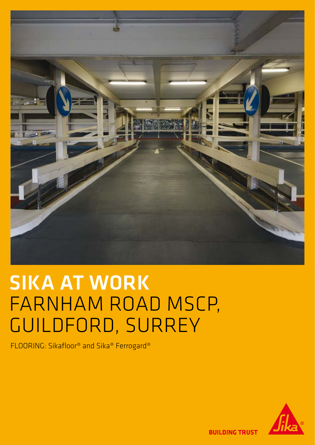

## SIKA AT WORK FARNHAM ROAD MSCP, GUILDFORD, SURREY

FLOORING: Sikafloor® and Sika® Ferrogard®



**BUILDING TRUST**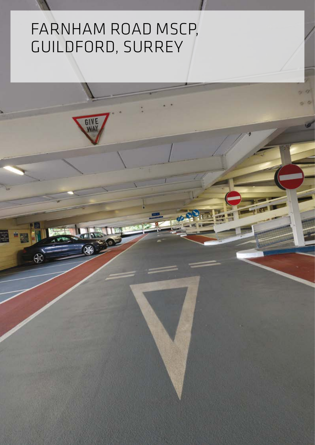## FARNHAM ROAD MSCP, GUILDFORD, SURREY

GI<sup>'</sup>

⊕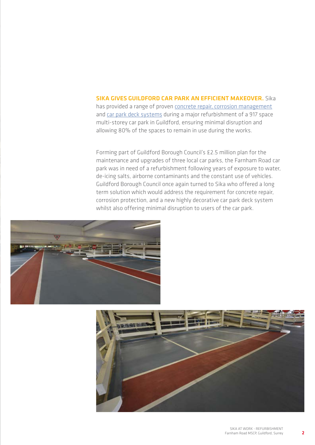## SIKA GIVES GUILDEORD CAR PARK AN EFFICIENT MAKEOVER. Sika

has provided a range of proven [concrete repair, corrosion management](http://gbr.sika.com/en/solutions_products/sika-markets/concrete-repair/products-and-systems/total-corrosion-management.html) and [car park deck systems](http://gbr.sika.com/en/solutions_products/sika-markets/industrial-and-commercial-flooring/flooring-systems/car-parks/systems-for-car-parks.html) during a major refurbishment of a 917 space multi-storey car park in Guildford, ensuring minimal disruption and allowing 80% of the spaces to remain in use during the works.

Forming part of Guildford Borough Council's £2.5 million plan for the maintenance and upgrades of three local car parks, the Farnham Road car park was in need of a refurbishment following years of exposure to water, de-icing salts, airborne contaminants and the constant use of vehicles. Guildford Borough Council once again turned to Sika who offered a long term solution which would address the requirement for concrete repair, corrosion protection, and a new highly decorative car park deck system whilst also offering minimal disruption to users of the car park.





2